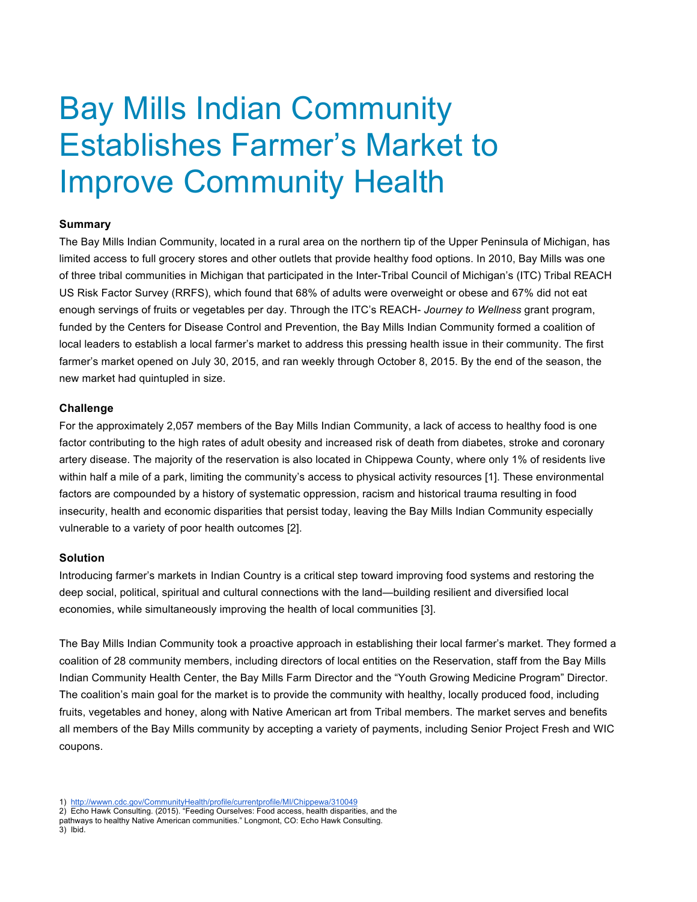# Bay Mills Indian Community Establishes Farmer's Market to Improve Community Health

### **Summary**

The Bay Mills Indian Community, located in a rural area on the northern tip of the Upper Peninsula of Michigan, has limited access to full grocery stores and other outlets that provide healthy food options. In 2010, Bay Mills was one of three tribal communities in Michigan that participated in the Inter-Tribal Council of Michigan's (ITC) Tribal REACH US Risk Factor Survey (RRFS), which found that 68% of adults were overweight or obese and 67% did not eat enough servings of fruits or vegetables per day. Through the ITC's REACH- *Journey to Wellness* grant program, funded by the Centers for Disease Control and Prevention, the Bay Mills Indian Community formed a coalition of local leaders to establish a local farmer's market to address this pressing health issue in their community. The first farmer's market opened on July 30, 2015, and ran weekly through October 8, 2015. By the end of the season, the new market had quintupled in size.

### **Challenge**

For the approximately 2,057 members of the Bay Mills Indian Community, a lack of access to healthy food is one factor contributing to the high rates of adult obesity and increased risk of death from diabetes, stroke and coronary artery disease. The majority of the reservation is also located in Chippewa County, where only 1% of residents live within half a mile of a park, limiting the community's access to physical activity resources [1]. These environmental factors are compounded by a history of systematic oppression, racism and historical trauma resulting in food insecurity, health and economic disparities that persist today, leaving the Bay Mills Indian Community especially vulnerable to a variety of poor health outcomes [2].

### **Solution**

Introducing farmer's markets in Indian Country is a critical step toward improving food systems and restoring the deep social, political, spiritual and cultural connections with the land—building resilient and diversified local economies, while simultaneously improving the health of local communities [3].

The Bay Mills Indian Community took a proactive approach in establishing their local farmer's market. They formed a coalition of 28 community members, including directors of local entities on the Reservation, staff from the Bay Mills Indian Community Health Center, the Bay Mills Farm Director and the "Youth Growing Medicine Program" Director. The coalition's main goal for the market is to provide the community with healthy, locally produced food, including fruits, vegetables and honey, along with Native American art from Tribal members. The market serves and benefits all members of the Bay Mills community by accepting a variety of payments, including Senior Project Fresh and WIC coupons.

<sup>1)</sup> http://wwwn.cdc.gov/CommunityHealth/profile/currentprofile/MI/Chippewa/310049

<sup>2)</sup> Echo Hawk Consulting. (2015). "Feeding Ourselves: Food access, health disparities, and the pathways to healthy Native American communities." Longmont, CO: Echo Hawk Consulting. 3) Ibid.